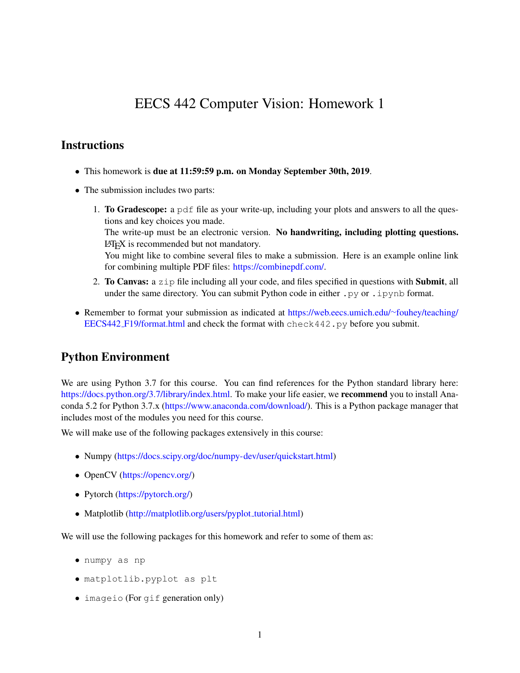# EECS 442 Computer Vision: Homework 1

#### **Instructions**

- This homework is due at 11:59:59 p.m. on Monday September 30th, 2019.
- The submission includes two parts:
	- 1. To Gradescope: a pdf file as your write-up, including your plots and answers to all the questions and key choices you made. The write-up must be an electronic version. No handwriting, including plotting questions. LATEX is recommended but not mandatory. You might like to combine several files to make a submission. Here is an example online link for combining multiple PDF files: [https://combinepdf.com/.](https://combinepdf.com/)
	- 2. To Canvas: a  $z \perp p$  file including all your code, and files specified in questions with Submit, all under the same directory. You can submit Python code in either  $.py$  or  $.ipy$  nb format.
- Remember to format your submission as indicated at [https://web.eecs.umich.edu/](https://web.eecs.umich.edu/~fouhey/teaching/EECS442_F19/format.html)∼fouhey/teaching/ EECS442 [F19/format.html](https://web.eecs.umich.edu/~fouhey/teaching/EECS442_F19/format.html) and check the format with check442.py before you submit.

### Python Environment

We are using Python 3.7 for this course. You can find references for the Python standard library here: [https://docs.python.org/3.7/library/index.html.](https://docs.python.org/3.7/library/index.html) To make your life easier, we **recommend** you to install Anaconda 5.2 for Python 3.7.x [\(https://www.anaconda.com/download/\)](https://www.anaconda.com/download/). This is a Python package manager that includes most of the modules you need for this course.

We will make use of the following packages extensively in this course:

- Numpy [\(https://docs.scipy.org/doc/numpy-dev/user/quickstart.html\)](https://docs.scipy.org/doc/numpy-dev/user/quickstart.html)
- OpenCV [\(https://opencv.org/\)](https://opencv.org/)
- Pytorch [\(https://pytorch.org/\)](https://pytorch.org/)
- Matplotlib [\(http://matplotlib.org/users/pyplot](http://matplotlib.org/users/pyplot_tutorial.html)\_tutorial.html)

We will use the following packages for this homework and refer to some of them as:

- numpy as np
- matplotlib.pyplot as plt
- imageio (For gif generation only)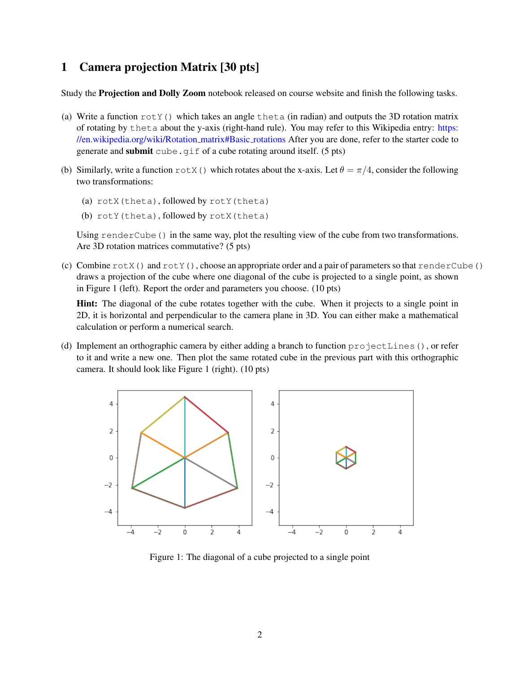### 1 Camera projection Matrix [30 pts]

Study the Projection and Dolly Zoom notebook released on course website and finish the following tasks.

- (a) Write a function  $rotY()$  which takes an angle theta (in radian) and outputs the 3D rotation matrix of rotating by theta about the y-axis (right-hand rule). You may refer to this Wikipedia entry: [https:](https://en.wikipedia.org/wiki/Rotation_matrix#Basic_rotations) [//en.wikipedia.org/wiki/Rotation](https://en.wikipedia.org/wiki/Rotation_matrix#Basic_rotations) matrix#Basic rotations After you are done, refer to the starter code to generate and submit cube.gif of a cube rotating around itself. (5 pts)
- (b) Similarly, write a function  $\text{rot}X$  () which rotates about the x-axis. Let  $\theta = \pi/4$ , consider the following two transformations:
	- (a) rotX(theta), followed by rotY(theta)
	- (b) rotY(theta), followed by rotX(theta)

Using renderCube() in the same way, plot the resulting view of the cube from two transformations. Are 3D rotation matrices commutative? (5 pts)

(c) Combine  $\text{rot}X$  () and  $\text{rot}Y$  (), choose an appropriate order and a pair of parameters so that renderCube() draws a projection of the cube where one diagonal of the cube is projected to a single point, as shown in Figure 1 (left). Report the order and parameters you choose. (10 pts)

Hint: The diagonal of the cube rotates together with the cube. When it projects to a single point in 2D, it is horizontal and perpendicular to the camera plane in 3D. You can either make a mathematical calculation or perform a numerical search.

(d) Implement an orthographic camera by either adding a branch to function projectLines(), or refer to it and write a new one. Then plot the same rotated cube in the previous part with this orthographic camera. It should look like Figure 1 (right). (10 pts)



Figure 1: The diagonal of a cube projected to a single point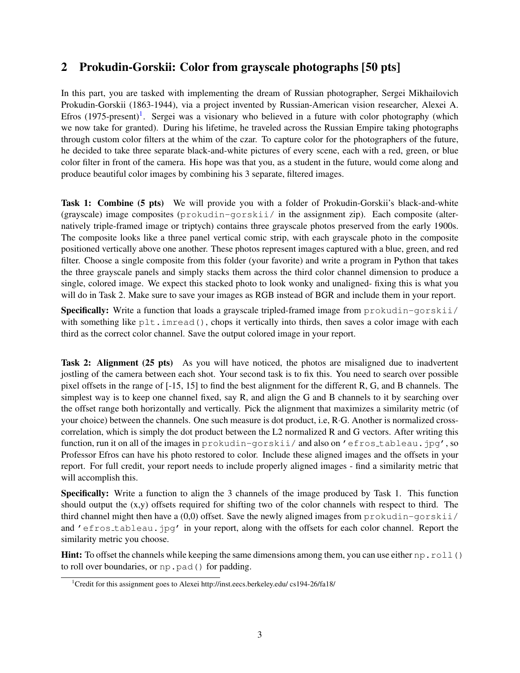## 2 Prokudin-Gorskii: Color from grayscale photographs [50 pts]

In this part, you are tasked with implementing the dream of Russian photographer, Sergei Mikhailovich Prokudin-Gorskii (1863-1944), via a project invented by Russian-American vision researcher, Alexei A. Efros  $(1975$  $(1975$  $(1975$ -present)<sup>1</sup>. Sergei was a visionary who believed in a future with color photography (which we now take for granted). During his lifetime, he traveled across the Russian Empire taking photographs through custom color filters at the whim of the czar. To capture color for the photographers of the future, he decided to take three separate black-and-white pictures of every scene, each with a red, green, or blue color filter in front of the camera. His hope was that you, as a student in the future, would come along and produce beautiful color images by combining his 3 separate, filtered images.

Task 1: Combine (5 pts) We will provide you with a folder of Prokudin-Gorskii's black-and-white  $(grayscale)$  image composites  $(prokudin-gorskii / in the assignment zip)$ . Each composite (alternatively triple-framed image or triptych) contains three grayscale photos preserved from the early 1900s. The composite looks like a three panel vertical comic strip, with each grayscale photo in the composite positioned vertically above one another. These photos represent images captured with a blue, green, and red filter. Choose a single composite from this folder (your favorite) and write a program in Python that takes the three grayscale panels and simply stacks them across the third color channel dimension to produce a single, colored image. We expect this stacked photo to look wonky and unaligned- fixing this is what you will do in Task 2. Make sure to save your images as RGB instead of BGR and include them in your report.

Specifically: Write a function that loads a grayscale tripled-framed image from prokudin-gorskii/ with something like plt.imread(), chops it vertically into thirds, then saves a color image with each third as the correct color channel. Save the output colored image in your report.

Task 2: Alignment (25 pts) As you will have noticed, the photos are misaligned due to inadvertent jostling of the camera between each shot. Your second task is to fix this. You need to search over possible pixel offsets in the range of [-15, 15] to find the best alignment for the different R, G, and B channels. The simplest way is to keep one channel fixed, say R, and align the G and B channels to it by searching over the offset range both horizontally and vertically. Pick the alignment that maximizes a similarity metric (of your choice) between the channels. One such measure is dot product, i.e, R·G. Another is normalized crosscorrelation, which is simply the dot product between the L2 normalized R and G vectors. After writing this function, run it on all of the images in prokudin-gorskii/ and also on 'efros\_tableau.jpg', so Professor Efros can have his photo restored to color. Include these aligned images and the offsets in your report. For full credit, your report needs to include properly aligned images - find a similarity metric that will accomplish this.

Specifically: Write a function to align the 3 channels of the image produced by Task 1. This function should output the (x,y) offsets required for shifting two of the color channels with respect to third. The third channel might then have a  $(0,0)$  offset. Save the newly aligned images from prokudin-gorskii/ and 'efros\_tableau.jpg' in your report, along with the offsets for each color channel. Report the similarity metric you choose.

**Hint:** To offset the channels while keeping the same dimensions among them, you can use either np.roll() to roll over boundaries, or np.pad() for padding.

<span id="page-2-0"></span><sup>&</sup>lt;sup>1</sup>Credit for this assignment goes to Alexei http://inst.eecs.berkeley.edu/ cs194-26/fa18/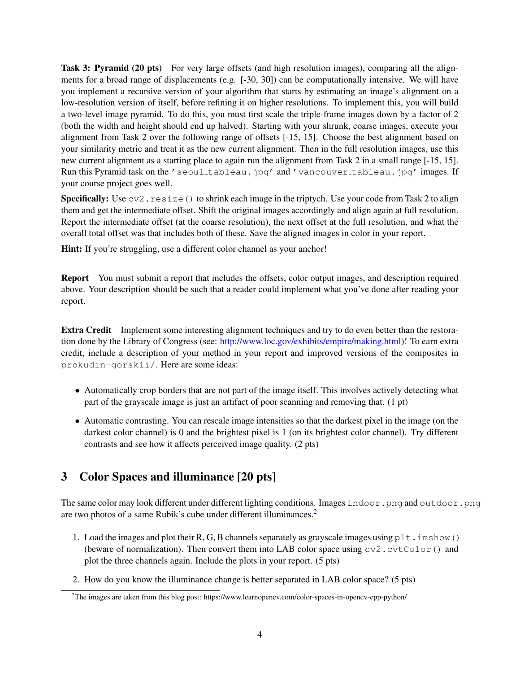Task 3: Pyramid (20 pts) For very large offsets (and high resolution images), comparing all the alignments for a broad range of displacements (e.g. [-30, 30]) can be computationally intensive. We will have you implement a recursive version of your algorithm that starts by estimating an image's alignment on a low-resolution version of itself, before refining it on higher resolutions. To implement this, you will build a two-level image pyramid. To do this, you must first scale the triple-frame images down by a factor of 2 (both the width and height should end up halved). Starting with your shrunk, coarse images, execute your alignment from Task 2 over the following range of offsets [-15, 15]. Choose the best alignment based on your similarity metric and treat it as the new current alignment. Then in the full resolution images, use this new current alignment as a starting place to again run the alignment from Task 2 in a small range [-15, 15]. Run this Pyramid task on the 'seoul tableau.jpg' and 'vancouver tableau.jpg' images. If your course project goes well.

**Specifically:** Use  $cv2$ . resize() to shrink each image in the triptych. Use your code from Task 2 to align them and get the intermediate offset. Shift the original images accordingly and align again at full resolution. Report the intermediate offset (at the coarse resolution), the next offset at the full resolution, and what the overall total offset was that includes both of these. Save the aligned images in color in your report.

Hint: If you're struggling, use a different color channel as your anchor!

Report You must submit a report that includes the offsets, color output images, and description required above. Your description should be such that a reader could implement what you've done after reading your report.

Extra Credit Implement some interesting alignment techniques and try to do even better than the restoration done by the Library of Congress (see: [http://www.loc.gov/exhibits/empire/making.html\)](http://www.loc.gov/exhibits/empire/making.html)! To earn extra credit, include a description of your method in your report and improved versions of the composites in prokudin-gorskii/. Here are some ideas:

- Automatically crop borders that are not part of the image itself. This involves actively detecting what part of the grayscale image is just an artifact of poor scanning and removing that. (1 pt)
- Automatic contrasting. You can rescale image intensities so that the darkest pixel in the image (on the darkest color channel) is 0 and the brightest pixel is 1 (on its brightest color channel). Try different contrasts and see how it affects perceived image quality. (2 pts)

# 3 Color Spaces and illuminance [20 pts]

The same color may look different under different lighting conditions. Images indoor.png and outdoor.png are two photos of a same Rubik's cube under different illuminances.[2](#page-3-0)

- 1. Load the images and plot their R, G, B channels separately as grayscale images using  $p$ 1t. imshow() (beware of normalization). Then convert them into LAB color space using  $\text{cv2.cvtColor}$ ) and plot the three channels again. Include the plots in your report. (5 pts)
- 2. How do you know the illuminance change is better separated in LAB color space? (5 pts)

<span id="page-3-0"></span><sup>2</sup>The images are taken from this blog post: https://www.learnopencv.com/color-spaces-in-opencv-cpp-python/